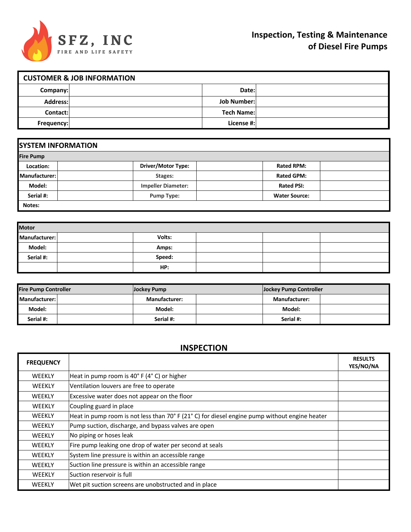

| <b>CUSTOMER &amp; JOB INFORMATION</b> |  |                    |  |  |
|---------------------------------------|--|--------------------|--|--|
| Company:                              |  | Date:              |  |  |
| Address:                              |  | <b>Job Number:</b> |  |  |
| Contact:                              |  | <b>Tech Name:</b>  |  |  |
| Frequency:                            |  | License #:         |  |  |

| <b>SYSTEM INFORMATION</b> |                           |                      |  |  |  |  |  |
|---------------------------|---------------------------|----------------------|--|--|--|--|--|
| <b>Fire Pump</b>          |                           |                      |  |  |  |  |  |
| Location:                 | <b>Driver/Motor Type:</b> | <b>Rated RPM:</b>    |  |  |  |  |  |
| Manufacturer:             | Stages:                   | <b>Rated GPM:</b>    |  |  |  |  |  |
| Model:                    | <b>Impeller Diameter:</b> | <b>Rated PSI:</b>    |  |  |  |  |  |
| Serial #:                 | <b>Pump Type:</b>         | <b>Water Source:</b> |  |  |  |  |  |
| Notes:                    |                           |                      |  |  |  |  |  |

| <b>Motor</b>  |  |        |  |  |  |
|---------------|--|--------|--|--|--|
| Manufacturer: |  | Volts: |  |  |  |
| Model:        |  | Amps:  |  |  |  |
| Serial #:     |  | Speed: |  |  |  |
|               |  | HP:    |  |  |  |

| <b>Fire Pump Controller</b> | Jockey Pump          |  | Jockey Pump Controller |  |
|-----------------------------|----------------------|--|------------------------|--|
| Manufacturer:               | <b>Manufacturer:</b> |  | <b>Manufacturer:</b>   |  |
| Model:                      | Model:               |  | Model:                 |  |
| Serial #:                   | Serial #:            |  | Serial #:              |  |

# **INSPECTION**

| <b>FREQUENCY</b> |                                                                                               | <b>RESULTS</b><br>YES/NO/NA |
|------------------|-----------------------------------------------------------------------------------------------|-----------------------------|
| <b>WEEKLY</b>    | Heat in pump room is 40°F (4°C) or higher                                                     |                             |
| <b>WEEKLY</b>    | Ventilation louvers are free to operate                                                       |                             |
| <b>WEEKLY</b>    | Excessive water does not appear on the floor                                                  |                             |
| <b>WEEKLY</b>    | Coupling guard in place                                                                       |                             |
| <b>WEEKLY</b>    | Heat in pump room is not less than 70° F (21° C) for diesel engine pump without engine heater |                             |
| <b>WEEKLY</b>    | Pump suction, discharge, and bypass valves are open                                           |                             |
| <b>WEEKLY</b>    | No piping or hoses leak                                                                       |                             |
| <b>WEEKLY</b>    | Fire pump leaking one drop of water per second at seals                                       |                             |
| <b>WEEKLY</b>    | System line pressure is within an accessible range                                            |                             |
| <b>WEEKLY</b>    | Suction line pressure is within an accessible range                                           |                             |
| <b>WEEKLY</b>    | lSuction reservoir is full                                                                    |                             |
| <b>WEEKLY</b>    | Wet pit suction screens are unobstructed and in place                                         |                             |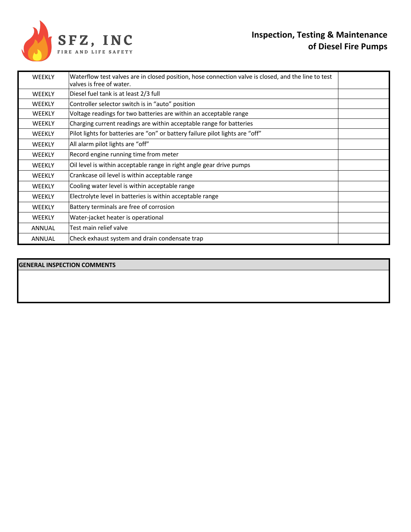

## **Inspection, Testing & Maintenance of Diesel Fire Pumps**

| <b>WEEKLY</b> | Waterflow test valves are in closed position, hose connection valve is closed, and the line to test<br>valves is free of water. |  |
|---------------|---------------------------------------------------------------------------------------------------------------------------------|--|
| <b>WEEKLY</b> | Diesel fuel tank is at least 2/3 full                                                                                           |  |
| <b>WEEKLY</b> | Controller selector switch is in "auto" position                                                                                |  |
| <b>WEEKLY</b> | Voltage readings for two batteries are within an acceptable range                                                               |  |
| <b>WEEKLY</b> | Charging current readings are within acceptable range for batteries                                                             |  |
| <b>WEEKLY</b> | Pilot lights for batteries are "on" or battery failure pilot lights are "off"                                                   |  |
| <b>WEEKLY</b> | All alarm pilot lights are "off"                                                                                                |  |
| <b>WEEKLY</b> | Record engine running time from meter                                                                                           |  |
| <b>WEEKLY</b> | Oil level is within acceptable range in right angle gear drive pumps                                                            |  |
| <b>WEEKLY</b> | Crankcase oil level is within acceptable range                                                                                  |  |
| <b>WEEKLY</b> | Cooling water level is within acceptable range                                                                                  |  |
| <b>WEEKLY</b> | Electrolyte level in batteries is within acceptable range                                                                       |  |
| <b>WEEKLY</b> | Battery terminals are free of corrosion                                                                                         |  |
| <b>WEEKLY</b> | Water-jacket heater is operational                                                                                              |  |
| <b>ANNUAL</b> | Test main relief valve                                                                                                          |  |
| <b>ANNUAL</b> | Check exhaust system and drain condensate trap                                                                                  |  |

#### **GENERAL INSPECTION COMMENTS**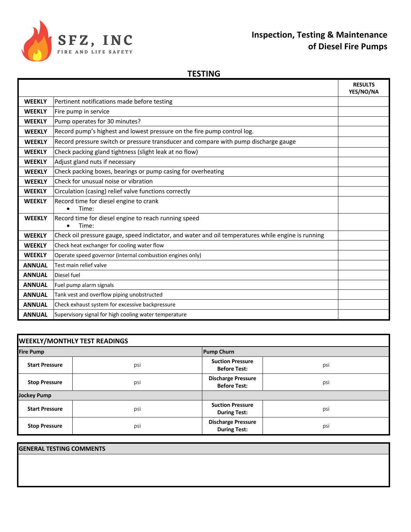

## **Inspection, Testing & Maintenance of Diesel Fire Pumps**

#### **TESTING**

|               |                                                                                                    | <b>RESULTS</b><br>YES/NO/NA |
|---------------|----------------------------------------------------------------------------------------------------|-----------------------------|
| <b>WEEKLY</b> | Pertinent notifications made before testing                                                        |                             |
| <b>WEEKLY</b> | Fire pump in service                                                                               |                             |
| <b>WEEKLY</b> | Pump operates for 30 minutes?                                                                      |                             |
| <b>WEEKLY</b> | Record pump's highest and lowest pressure on the fire pump control log.                            |                             |
| <b>WEEKLY</b> | Record pressure switch or pressure transducer and compare with pump discharge gauge                |                             |
| <b>WEEKLY</b> | Check packing gland tightness (slight leak at no flow)                                             |                             |
| <b>WEEKLY</b> | Adjust gland nuts if necessary                                                                     |                             |
| <b>WEEKLY</b> | Check packing boxes, bearings or pump casing for overheating                                       |                             |
| <b>WEEKLY</b> | Check for unusual noise or vibration                                                               |                             |
| <b>WEEKLY</b> | Circulation (casing) relief valve functions correctly                                              |                             |
| <b>WEEKLY</b> | Record time for diesel engine to crank<br>Time:<br>$\bullet$                                       |                             |
| <b>WEEKLY</b> | Record time for diesel engine to reach running speed<br>Time:                                      |                             |
| <b>WEEKLY</b> | Check oil pressure gauge, speed indictator, and water and oil temperatures while engine is running |                             |
| <b>WEEKLY</b> | Check heat exchanger for cooling water flow                                                        |                             |
| <b>WEEKLY</b> | Operate speed governor (internal combustion engines only)                                          |                             |
| <b>ANNUAL</b> | Test main relief valve                                                                             |                             |
| <b>ANNUAL</b> | Diesel fuel                                                                                        |                             |
| <b>ANNUAL</b> | Fuel pump alarm signals                                                                            |                             |
| <b>ANNUAL</b> | Tank vest and overflow piping unobstructed                                                         |                             |
| <b>ANNUAL</b> | Check exhaust system for excessive backpressure                                                    |                             |
| <b>ANNUAL</b> | Supervisory signal for high cooling water temperature                                              |                             |

| <b>WEEKLY/MONTHLY TEST READINGS</b> |     |                                                  |     |  |  |
|-------------------------------------|-----|--------------------------------------------------|-----|--|--|
| <b>Fire Pump</b>                    |     | <b>Pump Churn</b>                                |     |  |  |
| <b>Start Pressure</b>               | psi | <b>Suction Pressure</b><br><b>Before Test:</b>   | psi |  |  |
| <b>Stop Pressure</b>                | psi | <b>Discharge Pressure</b><br><b>Before Test:</b> | psi |  |  |
| <b>Jockey Pump</b>                  |     |                                                  |     |  |  |
| <b>Start Pressure</b>               | psi | <b>Suction Pressure</b><br><b>During Test:</b>   | psi |  |  |
| <b>Stop Pressure</b>                | psi | <b>Discharge Pressure</b><br><b>During Test:</b> | psi |  |  |

**GENERAL TESTING COMMENTS**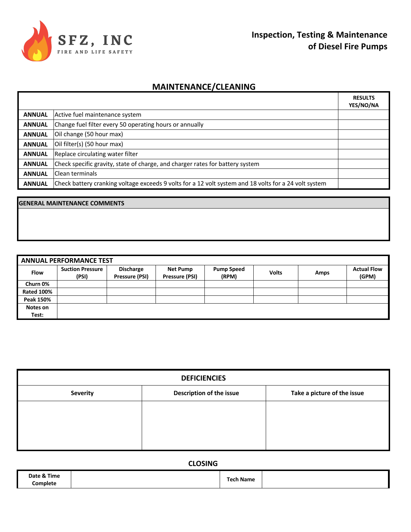

### **MAINTENANCE/CLEANING**

|               |                                                                                                       | <b>RESULTS</b><br>YES/NO/NA |
|---------------|-------------------------------------------------------------------------------------------------------|-----------------------------|
| <b>ANNUAL</b> | Active fuel maintenance system                                                                        |                             |
| <b>ANNUAL</b> | Change fuel filter every 50 operating hours or annually                                               |                             |
| <b>ANNUAL</b> | Oil change (50 hour max)                                                                              |                             |
| <b>ANNUAL</b> | Oil filter(s) (50 hour max)                                                                           |                             |
| <b>ANNUAL</b> | Replace circulating water filter                                                                      |                             |
| <b>ANNUAL</b> | Check specific gravity, state of charge, and charger rates for battery system                         |                             |
| <b>ANNUAL</b> | <b>IClean terminals</b>                                                                               |                             |
| <b>ANNUAL</b> | Check battery cranking voltage exceeds 9 volts for a 12 volt system and 18 volts for a 24 volt system |                             |

#### **GENERAL MAINTENANCE COMMENTS**

| <b>ANNUAL PERFORMANCE TEST</b> |                                  |                                    |                                   |                            |              |             |                             |
|--------------------------------|----------------------------------|------------------------------------|-----------------------------------|----------------------------|--------------|-------------|-----------------------------|
| <b>Flow</b>                    | <b>Suction Pressure</b><br>(PSI) | <b>Discharge</b><br>Pressure (PSI) | <b>Net Pump</b><br>Pressure (PSI) | <b>Pump Speed</b><br>(RPM) | <b>Volts</b> | <b>Amps</b> | <b>Actual Flow</b><br>(GPM) |
| Churn 0%                       |                                  |                                    |                                   |                            |              |             |                             |
| <b>Rated 100%</b>              |                                  |                                    |                                   |                            |              |             |                             |
| Peak 150%                      |                                  |                                    |                                   |                            |              |             |                             |
| Notes on                       |                                  |                                    |                                   |                            |              |             |                             |
| Test:                          |                                  |                                    |                                   |                            |              |             |                             |

| <b>DEFICIENCIES</b>      |                             |  |  |  |  |  |
|--------------------------|-----------------------------|--|--|--|--|--|
| Description of the issue | Take a picture of the issue |  |  |  |  |  |
|                          |                             |  |  |  |  |  |
|                          |                             |  |  |  |  |  |
|                          |                             |  |  |  |  |  |
|                          |                             |  |  |  |  |  |

**CLOSING**

| Date & Time | המד  |  |
|-------------|------|--|
| Complete    | anıc |  |